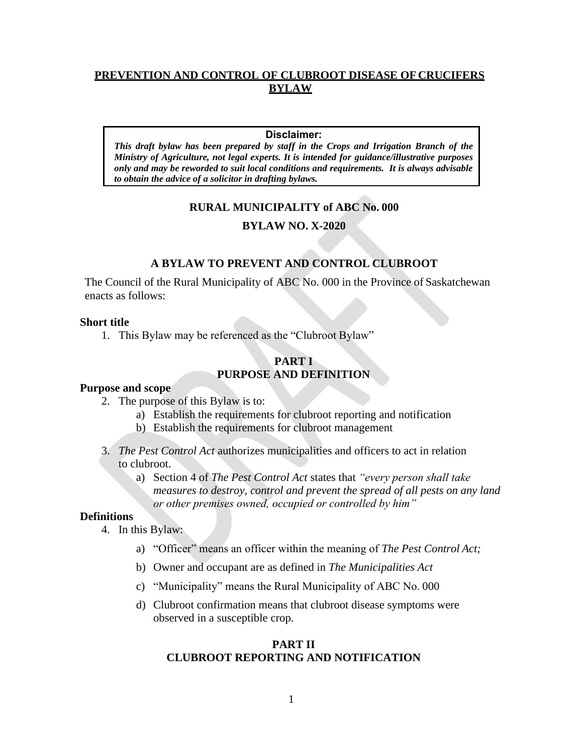# **PREVENTION AND CONTROL OF CLUBROOT DISEASE OF CRUCIFERS BYLAW**

#### **Disclaimer:**

*This draft bylaw has been prepared by staff in the Crops and Irrigation Branch of the Ministry of Agriculture, not legal experts. It is intended for guidance/illustrative purposes only and may be reworded to suit local conditions and requirements. It is always advisable to obtain the advice of a solicitor in drafting bylaws.*

## **RURAL MUNICIPALITY of ABC No. 000**

## **BYLAW NO. X-2020**

## **A BYLAW TO PREVENT AND CONTROL CLUBROOT**

The Council of the Rural Municipality of ABC No. 000 in the Province of Saskatchewan enacts as follows:

#### **Short title**

1. This Bylaw may be referenced as the "Clubroot Bylaw"

# **PART I PURPOSE AND DEFINITION**

#### **Purpose and scope**

- 2. The purpose of this Bylaw is to:
	- a) Establish the requirements for clubroot reporting and notification
	- b) Establish the requirements for clubroot management
- 3. *The Pest Control Act* authorizes municipalities and officers to act in relation to clubroot.
	- a) Section 4 of *The Pest Control Act* states that *"every person shall take measures to destroy, control and prevent the spread of all pests on any land or other premises owned, occupied or controlled by him"*

#### **Definitions**

- 4. In this Bylaw:
	- a) "Officer" means an officer within the meaning of *The Pest Control Act;*
	- b) Owner and occupant are as defined in *The Municipalities Act*
	- c) "Municipality" means the Rural Municipality of ABC No. 000
	- d) Clubroot confirmation means that clubroot disease symptoms were observed in a susceptible crop.

## **PART II CLUBROOT REPORTING AND NOTIFICATION**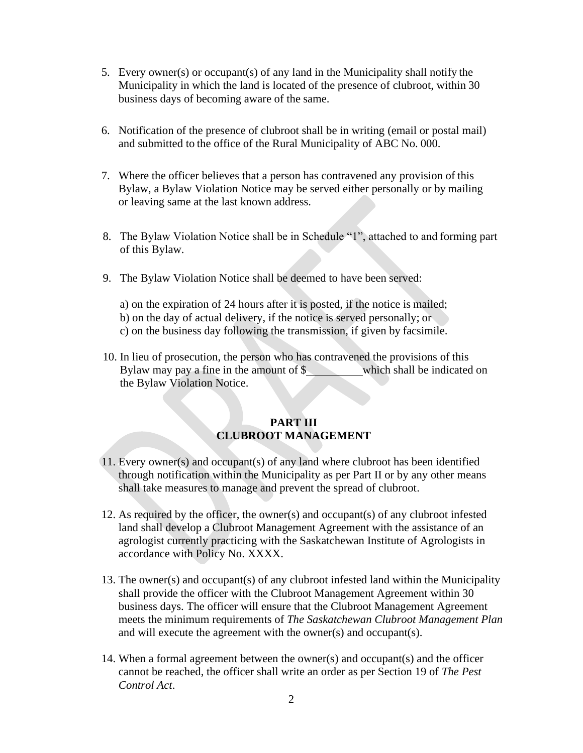- 5. Every owner(s) or occupant(s) of any land in the Municipality shall notify the Municipality in which the land is located of the presence of clubroot, within 30 business days of becoming aware of the same.
- 6. Notification of the presence of clubroot shall be in writing (email or postal mail) and submitted to the office of the Rural Municipality of ABC No. 000.
- 7. Where the officer believes that a person has contravened any provision of this Bylaw, a Bylaw Violation Notice may be served either personally or by mailing or leaving same at the last known address.
- 8. The Bylaw Violation Notice shall be in Schedule "1", attached to and forming part of this Bylaw.
- 9. The Bylaw Violation Notice shall be deemed to have been served:

a) on the expiration of 24 hours after it is posted, if the notice is mailed; b) on the day of actual delivery, if the notice is served personally; or c) on the business day following the transmission, if given by facsimile.

10. In lieu of prosecution, the person who has contravened the provisions of this Bylaw may pay a fine in the amount of \$ which shall be indicated on the Bylaw Violation Notice.

# **PART III CLUBROOT MANAGEMENT**

- 11. Every owner(s) and occupant(s) of any land where clubroot has been identified through notification within the Municipality as per Part II or by any other means shall take measures to manage and prevent the spread of clubroot.
- 12. As required by the officer, the owner(s) and occupant(s) of any clubroot infested land shall develop a Clubroot Management Agreement with the assistance of an agrologist currently practicing with the Saskatchewan Institute of Agrologists in accordance with Policy No. XXXX.
- 13. The owner(s) and occupant(s) of any clubroot infested land within the Municipality shall provide the officer with the Clubroot Management Agreement within 30 business days. The officer will ensure that the Clubroot Management Agreement meets the minimum requirements of *The Saskatchewan Clubroot Management Plan* and will execute the agreement with the owner(s) and occupant(s).
- 14. When a formal agreement between the owner(s) and occupant(s) and the officer cannot be reached, the officer shall write an order as per Section 19 of *The Pest Control Act*.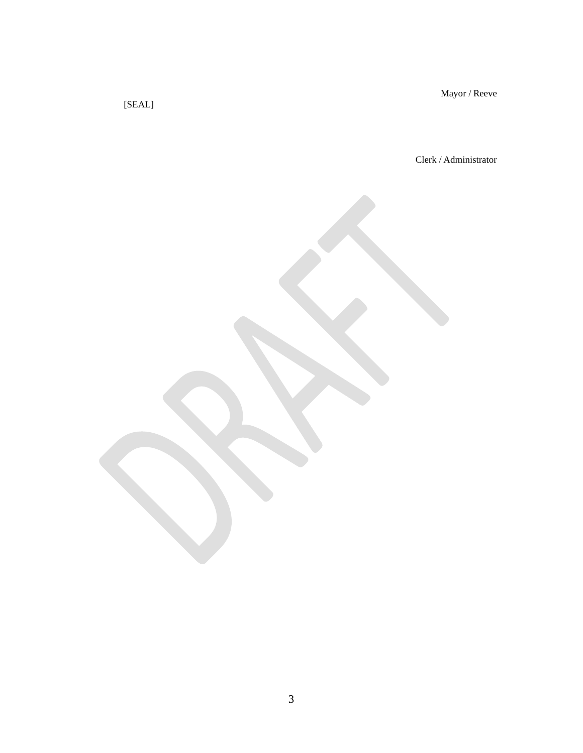Mayor / Reeve

[SEAL]

Clerk / Administrator